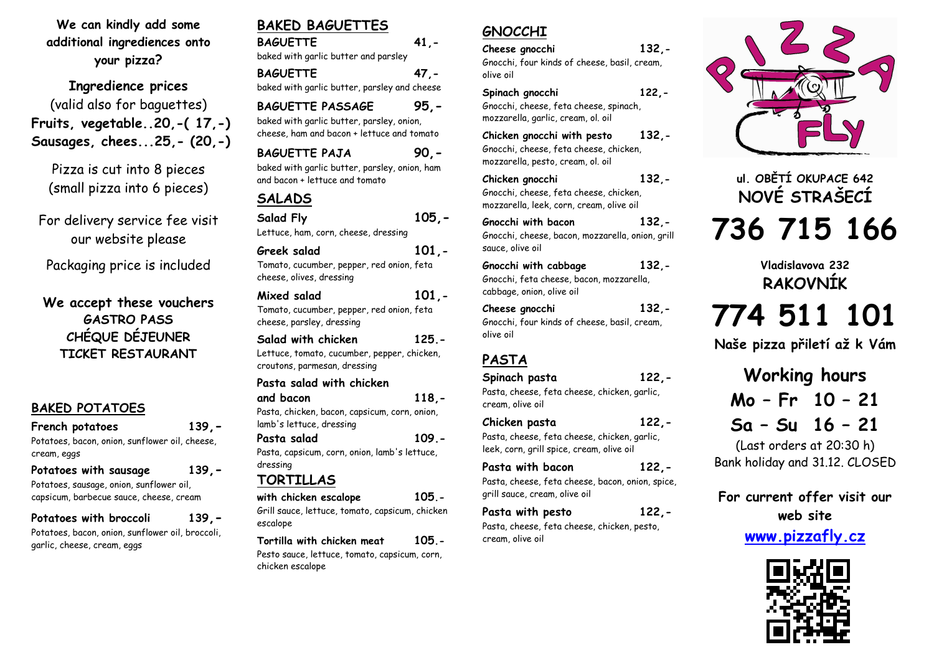**We can kindly add some additional ingrediences onto your pizza?** 

**Ingredience prices**  (valid also for baguettes)**Fruits, vegetable..20,-( 17,-) Sausages, chees...25,- (20,-)** 

Pizza is cut into 8 pieces (small pizza into 6 pieces)

For delivery service fee visit our website please

Packaging price is included

**We accept these vouchersGASTRO PASS CHÉQUE DÉJEUNER TICKET RESTAURANT** 

### **BAKED POTATOES**

**French potatoes 139,-**

 Potatoes, bacon, onion, sunflower oil, cheese, cream, eggs

**Potatoes with sausage <sup>139</sup>,-**Potatoes, sausage, onion, sunflower oil,

capsicum, barbecue sauce, cheese, cream

#### **Potatoes with broccoli139,-**

 Potatoes, bacon, onion, sunflower oil, broccoli, garlic, cheese, cream, eggs

## **BAKED BAGUETTES**

**BAGUETTE 41,** baked with garlic butter and parsley **BAGUETTE 47,**baked with garlic butter, parsley and cheese

**BAGUETTE PASSAGE 95,** baked with garlic butter, parsley, onion, cheese, ham and bacon + lettuce and tomato

**BAGUETTE PAJA 90,** baked with garlic butter, parsley, onion, ham and bacon + lettuce and tomato

## **SALADS**

**Salad Fly 105,-**Lettuce, ham, corn, cheese, dressing**Greek salad 101,-** 

Tomato, cucumber, pepper, red onion, feta cheese, olives, dressing

**Mixed salad 101,-** Tomato, cucumber, pepper, red onion, feta cheese, parsley, dressing

Lettuce, tomato, cucumber, pepper, chicken, croutons, parmesan, dressing

**Pasta salad with chicken** 

**and bacon 118,-** Pasta, chicken, bacon, capsicum, corn, onion, lamb's lettuce, dressing

**Pasta salad 109.-** Pasta, capsicum, corn, onion, lamb's lettuce, dressing

## **TORTILLAS**

**with chicken escalope 105.-**  Grill sauce, lettuce, tomato, capsicum, chicken escalope

**Tortilla with chicken meat 105.-** Pesto sauce, lettuce, tomato, capsicum, corn, chicken escalope

## **GNOCCHI**

 **Cheese gnocchi 132,-** Gnocchi, four kinds of cheese, basil, cream, olive oil

**Spinach gnocchi 122,-** Gnocchi, cheese, feta cheese, spinach, mozzarella, garlic, cream, ol. oil

**Chicken gnocchi with pesto 132,-** Gnocchi, cheese, feta cheese, chicken, mozzarella, pesto, cream, ol. oil

**Chicken gnocchi 132,-** Gnocchi, cheese, feta cheese, chicken, mozzarella, leek, corn, cream, olive oil

**Gnocchi with bacon 132,-**  Gnocchi, cheese, bacon, mozzarella, onion, grill sauce, olive oil

**Gnocchi with cabbage 132,-** Gnocchi, feta cheese, bacon, mozzarella, cabbage, onion, olive oil

**Cheese gnocchi 132,-** Gnocchi, four kinds of cheese, basil, cream, olive oil

## **PASTA**

**Spinach pasta 122,-** Pasta, cheese, feta cheese, chicken, garlic, cream, olive oil

**Chicken pasta 122,-** Pasta, cheese, feta cheese, chicken, garlic, leek, corn, grill spice, cream, olive oil

**Pasta with bacon 122,-**  Pasta, cheese, feta cheese, bacon, onion, spice, grill sauce, cream, olive oil

**Pasta with pesto 122,-** Pasta, cheese, feta cheese, chicken, pesto, cream, olive oil

# **ul. OBĚTÍ OKUPACE 642 NOVÉ STRAŠECÍ 736 715 166**

**Vladislavova 232 RAKOVNÍK 774 511 101**

**Naše pizza přiletí až k Vám** 

**Working hours Mo – Fr 10 – 21 Sa – Su 16 – 21** 

(Last orders at 20:30 h) Bank holiday and 31.12. CLOSED

**For current offer visit our web site www.pizzafly.cz**



**Salad with chicken 125.-**